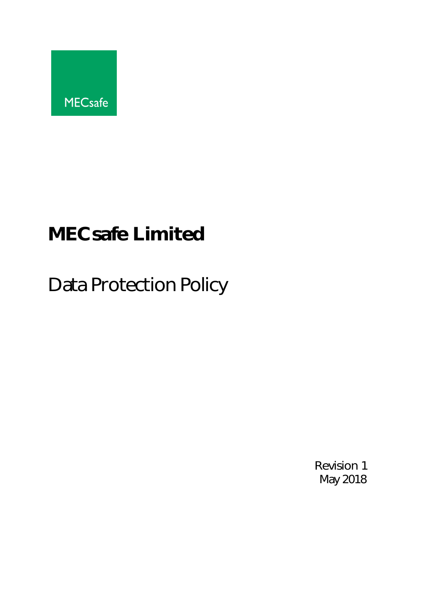

# **MECsafe Limited**

Data Protection Policy

Revision 1 May 2018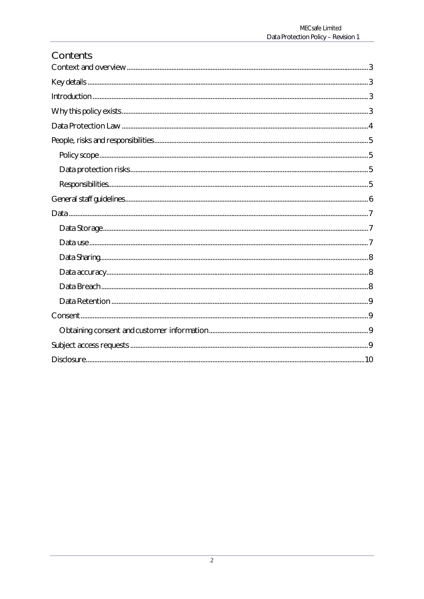| Contents |  |
|----------|--|
|          |  |
|          |  |
|          |  |
|          |  |
|          |  |
|          |  |
|          |  |
|          |  |
|          |  |
|          |  |
|          |  |
|          |  |
|          |  |
|          |  |
|          |  |
|          |  |
|          |  |
|          |  |
|          |  |
|          |  |
|          |  |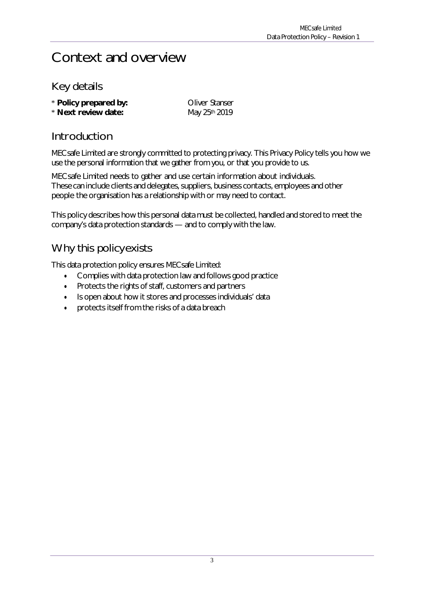### Context and overview

#### Key details

| * Policy prepared by: | <b>Oliver Stanser</b> |
|-----------------------|-----------------------|
| * Next review date:   | May 25th 2019         |

#### Introduction

MECsafe Limited are strongly committed to protecting privacy. This Privacy Policy tells you how we use the personal information that we gather from you, or that you provide to us.

MECsafe Limited needs to gather and use certain information about individuals. These can include clients and delegates, suppliers, business contacts, employees and other people the organisation has a relationship with or may need to contact.

This policy describes how this personal data must be collected, handled and stored to meet the company's data protection standards — and to comply with the law.

#### Why this policyexists

This data protection policy ensures MECsafe Limited:

- Complies with data protection law and follows good practice
- Protects the rights of staff, customers and partners
- Is open about how it stores and processes individuals' data
- protects itself from the risks of a data breach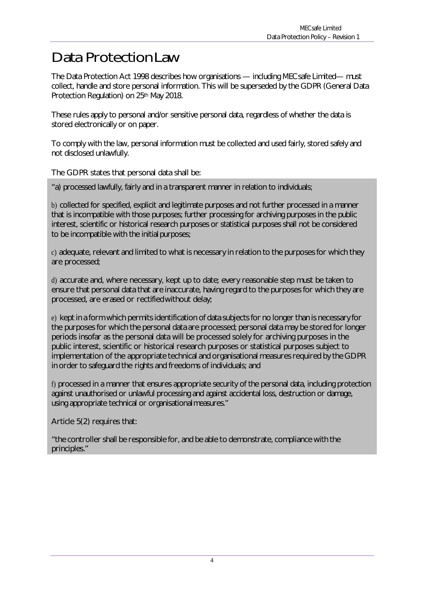### Data Protection Law

The Data Protection Act 1998 describes how organisations — including MECsafe Limited— must collect, handle and store personal information. This will be superseded by the GDPR (General Data Protection Regulation) on 25<sup>th</sup> May 2018.

These rules apply to personal and/or sensitive personal data, regardless of whether the data is stored electronically or on paper.

To comply with the law, personal information must be collected and used fairly, stored safely and not disclosed unlawfully.

The GDPR states that personal data shall be:

"a) processed lawfully, fairly and in a transparent manner in relation to individuals;

b) collected for specified, explicit and legitimate purposes and not further processed in a manner that is incompatible with those purposes; further processing for archiving purposes in the public interest, scientific or historical research purposes or statistical purposes shall not be considered to be incompatible with the initial purposes;

c) adequate, relevant and limited to what is necessary in relation to the purposes for which they are processed;

d) accurate and, where necessary, kept up to date; every reasonable step must be taken to ensure that personal data that are inaccurate, having regard to the purposes for which they are processed, are erased or rectifiedwithout delay;

e) kept in a form which permits identification of data subjects for no longer than is necessary for the purposes for which the personal data are processed; personal data may be stored for longer periods insofar as the personal data will be processed solely for archiving purposes in the public interest, scientific or historical research purposes or statistical purposes subject to implementation of the appropriate technical and organisational measures required by the GDPR in order to safeguard the rights and freedoms of individuals; and

f) processed in a manner that ensures appropriate security of the personal data, including protection against unauthorised or unlawful processing and against accidental loss, destruction or damage, using appropriate technical or organisational measures."

Article 5(2) requires that:

"the controller shall be responsible for, and be able to demonstrate, compliance with the principles."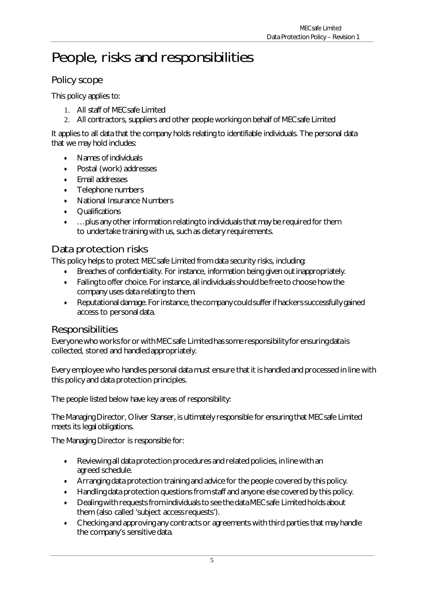# People, risks and responsibilities

#### Policy scope

This policy applies to:

- 1. All staff of MECsafe Limited
- 2. All contractors, suppliers and other people working on behalf of MECsafe Limited

It applies to all data that the company holds relating to identifiable individuals. The personal data that we may hold includes:

- Names of individuals
- Postal (work) addresses
- Email addresses
- Telephone numbers
- National Insurance Numbers
- **Qualifications**
- …plus any other information relating to individuals that may be required for them to undertake training with us, such as dietary requirements.

#### Data protection risks

This policy helps to protect MECsafe Limited from data security risks, including:

- Breaches of confidentiality. For instance, information being given outinappropriately.
- Failing to offer choice. For instance, all individuals should be free to choose how the company uses data relating to them.
- Reputational damage. For instance, the company could suffer if hackers successfully gained access to personal data.

#### **Responsibilities**

Everyone who worksfor or withMECsafe Limited hassome responsibility for ensuring data is collected, stored and handled appropriately.

Every employee who handles personal data must ensure that it is handled and processed in line with this policy and data protection principles.

The people listed below have key areas of responsibility:

The Managing Director, Oliver Stanser, is ultimately responsible for ensuring that MECsafe Limited meets its legal obligations.

The Managing Director is responsible for:

- Reviewing all data protection procedures and related policies, in line with an agreed schedule.
- Arranging data protection training and advice for the people covered by this policy.
- Handling data protection questions from staff and anyone else covered by this policy.
- Dealing with requestsfrom individuals to see the data MECsafe Limited holds about them (also called 'subject accessrequests').
- Checking and approving any contracts or agreements with third parties that may handle the company's sensitive data.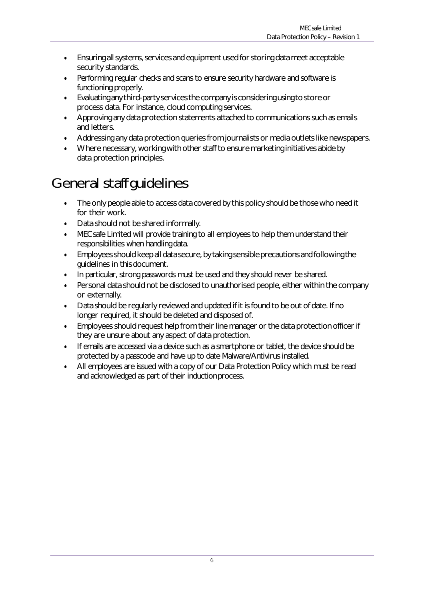- Ensuring all systems, services and equipment used for storing data meet acceptable security standards.
- Performing regular checks and scans to ensure security hardware and software is functioning properly.
- Evaluating any third-party servicesthe company is considering using to store or process data. For instance, cloud computing services.
- Approving any data protection statements attached to communications such as emails and letters.
- Addressing any data protection queries from journalists or media outlets like newspapers.
- Where necessary, working with other staff to ensure marketing initiatives abide by data protection principles.

# General staff guidelines

- The only people able to access data covered by this policy should be those who need it for their work.
- Data should not be shared informally.
- MECsafe Limited will provide training to all employees to help them understand their responsibilities when handling data.
- Employees should keep all data secure, by taking sensible precautions and following the guidelines in this document.
- In particular, strong passwords must be used and they should never be shared.
- Personal data should not be disclosed to unauthorised people, either within the company or externally.
- Data should be regularly reviewed and updated if it is found to be out of date. If no longer required, it should be deleted and disposed of.
- Employees should request help from their line manager or the data protection officer if they are unsure about any aspect of data protection.
- If emails are accessed via a device such as a smartphone or tablet, the device should be protected by a passcode and have up to date Malware/Antivirus installed.
- All employees are issued with a copy of our Data Protection Policy which must be read and acknowledged as part of their inductionprocess.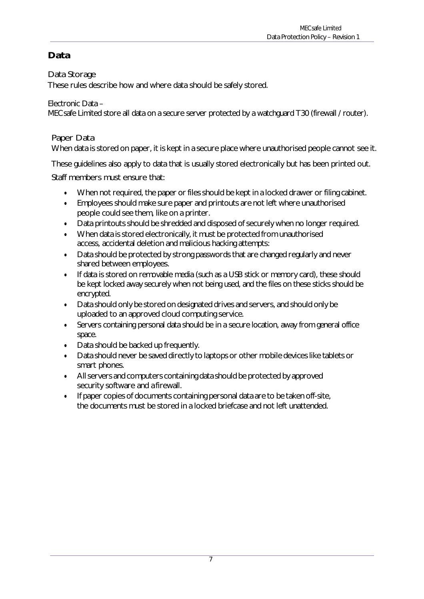#### **Data**

Data Storage

These rules describe how and where data should be safely stored.

Electronic Data –

MECsafe Limited store all data on a secure server protected by a watchguard T30 (firewall / router).

#### Paper Data

When data is stored on paper, it is kept in a secure place where unauthorised people cannot see it.

These guidelines also apply to data that is usually stored electronically but has been printed out.

Staff members must ensure that:

- When not required, the paper or files should be kept in a locked drawer or filing cabinet.
- Employees should make sure paper and printouts are not left where unauthorised people could see them, like on a printer.
- Data printouts should be shredded and disposed of securely when no longer required.
- When data is stored electronically, it must be protected from unauthorised access, accidental deletion and malicious hacking attempts:
- Data should be protected by strong passwords that are changed regularly and never shared between employees.
- If data is stored on removable media (such as a USB stick or memory card), these should be kept locked away securely when not being used, and the files on these sticks should be encrypted.
- Data should only be stored on designated drives and servers, and should only be uploaded to an approved cloud computing service.
- Servers containing personal data should be in a secure location, away from general office space.
- Data should be backed up frequently.
- Data should never be saved directly to laptops or other mobile devices like tablets or smart phones.
- Allservers and computers containing data should be protected by approved security software and a firewall.
- If paper copies of documents containing personal data are to be taken off-site, the documents must be stored in a locked briefcase and not left unattended.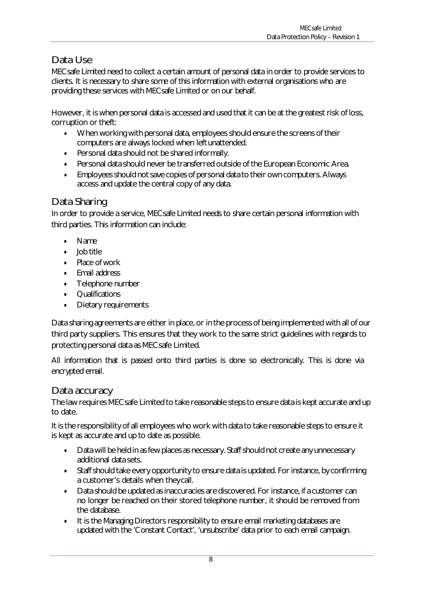#### Data Use

MECsafe Limited need to collect a certain amount of personal data in order to provide services to clients. It is necessary to share some of this information with external organisations who are providing these services with MECsafe Limited or on our behalf.

However, it is when personal data is accessed and used that it can be at the greatest risk of loss, corruption or theft:

- When working with personal data, employees should ensure the screens of their computers are always locked when left unattended.
- Personal data should not be shared informally.
- Personal data should never be transferred outside of the European Economic Area.
- Employees should not save copies of personal data to their own computers. Always access and update the central copy of any data.

#### Data Sharing

In order to provide a service, MECsafe Limited needs to share certain personal information with third parties. This information can include:

- Name
- Job title
- Place of work
- Email address
- Telephone number
- **Qualifications**
- Dietary requirements

Data sharing agreements are either in place, or in the process of being implemented with all of our third party suppliers. This ensures that they work to the same strict guidelines with regards to protecting personal data as MECsafe Limited.

All information that is passed onto third parties is done so electronically. This is done via encrypted email.

#### Data accuracy

The law requires MECsafe Limited to take reasonable steps to ensure data is kept accurate and up to date.

It is the responsibility of all employees who work with data to take reasonable steps to ensure it is kept as accurate and up to date as possible.

- Data will be held in as few places as necessary. Staff should not create any unnecessary additional data sets.
- Staff should take every opportunity to ensure data is updated. For instance, by confirming a customer's details when they call.
- Data should be updated as inaccuracies are discovered. For instance, if a customer can no longer be reached on their stored telephone number, it should be removed from the database.
- It is the Managing Directors responsibility to ensure email marketing databases are updated with the 'Constant Contact', 'unsubscribe' data prior to each email campaign.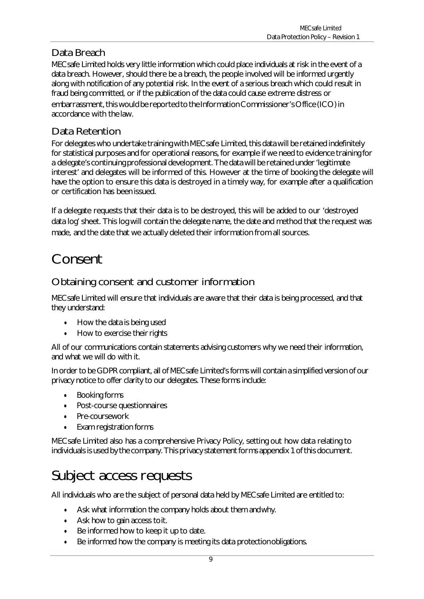#### Data Breach

MECsafe Limited holds very little information which could place individuals at risk in the event of a data breach. However, should there be a breach, the people involved will be informed urgently along with notification of any potential risk. In the event of a serious breach which could result in fraud being committed, or if the publication of the data could cause extreme distress or embarrassment, this would be reported to the Information Commissioner's Office (ICO) in accordance with the law.

#### Data Retention

For delegates who undertake training with MECsafe Limited, this data will be retained indefinitely for statistical purposes and for operational reasons, for example if we need to evidence training for a delegate's continuing professional development. The data will be retained under'legitimate interest' and delegates will be informed of this. However at the time of booking the delegate will have the option to ensure this data is destroyed in a timely way, for example after a qualification or certification has been issued.

If a delegate requests that their data is to be destroyed, this will be added to our 'destroyed data log' sheet. This log will contain the delegate name, the date and method that the request was made, and the date that we actually deleted their information from all sources.

# Consent

#### Obtaining consent and customer information

MECsafe Limited will ensure that individuals are aware that their data is being processed, and that they understand:

- How the data is being used
- How to exercise their rights

All of our communications contain statements advising customers why we need their information, and what we will do with it.

In order to be GDPR compliant, all of MECsafe Limited's forms will contain a simplified version of our privacy notice to offer clarity to our delegates. These forms include:

- Booking forms
- Post-course questionnaires
- Pre-coursework
- Exam registration forms

MECsafe Limited also has a comprehensive Privacy Policy, setting out how data relating to individuals is used by the company. This privacy statement forms appendix 1 of this document.

## Subject access requests

All individuals who are the subject of personal data held by MECsafe Limited are entitled to:

- Ask what information the company holds about them andwhy.
- Ask how to gain access to it.
- Be informed how to keep it up to date.
- Be informed how the company is meeting its data protectionobligations.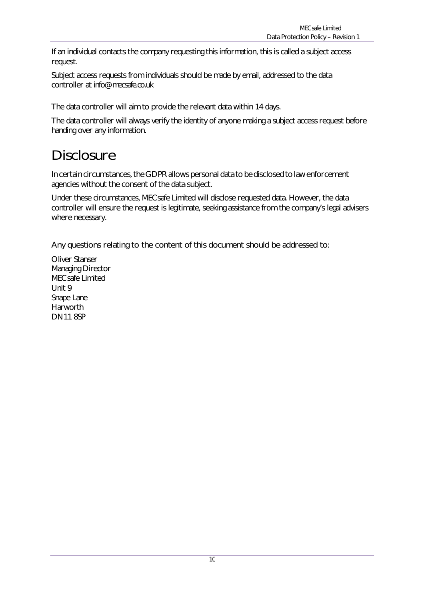If an individual contacts the company requesting this information, this is called a subject access request.

Subject access requests from individuals should be made by email, addressed to the data controller at [info@mecsafe.co.uk](mailto:info@mecsafe.co.uk)

The data controller will aim to provide the relevant data within 14 days.

The data controller will always verify the identity of anyone making a subject access request before handing over any information.

### **Disclosure**

In certain circumstances, the GDPR allows personal data to be disclosed to law enforcement agencies without the consent of the data subject.

Under these circumstances, MECsafe Limited will disclose requested data. However, the data controller will ensure the request is legitimate, seeking assistance from the company's legal advisers where necessary.

Any questions relating to the content of this document should be addressed to:

Oliver Stanser Managing Director MECsafe Limited Unit 9 Snape Lane Harworth DN11 8SP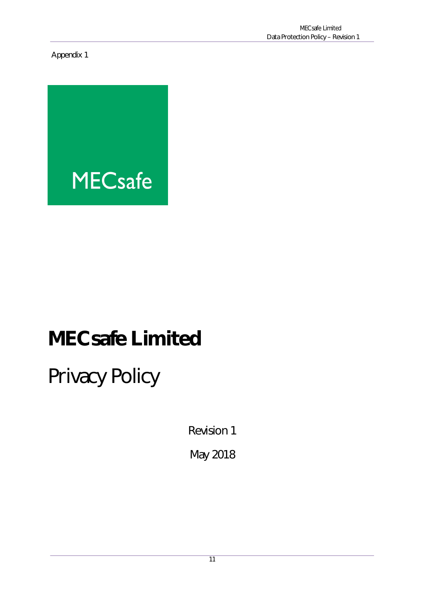Appendix 1



# **MECsafe Limited**

Privacy Policy

Revision 1

May 2018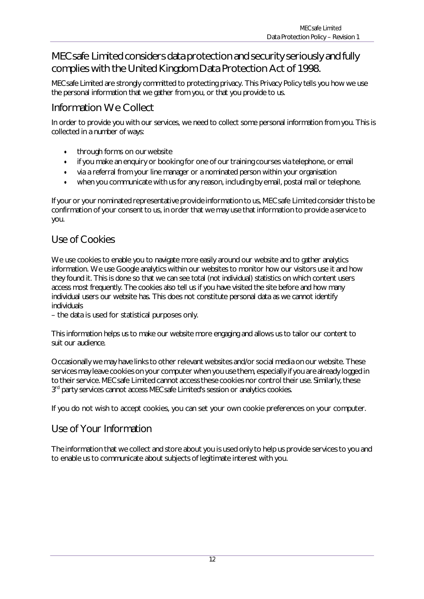#### MECsafe Limited considers data protection and security seriously and fully complies with the United Kingdom Data Protection Act of 1998.

MECsafe Limited are strongly committed to protecting privacy. This Privacy Policy tells you how we use the personal information that we gather from you, or that you provide to us.

#### Information We Collect

In order to provide you with our services, we need to collect some personal information from you. This is collected in a number of ways:

- through forms on ourwebsite
- if you make an enquiry or booking for one of our training courses via telephone, or email
- via a referral from your line manager or a nominated person within your organisation
- when you communicate with us for any reason, including by email, postal mail or telephone.

If your or your nominated representative provide information to us, MECsafe Limited considerthisto be confirmation of your consent to us, in order that we may use that information to provide a service to you.

#### Use of Cookies

We use cookies to enable you to navigate more easily around our website and to gather analytics information. We use Google analytics within our websites to monitor how our visitors use it and how they found it. This is done so that we can see total (not individual) statistics on which content users access most frequently. The cookies also tell us if you have visited the site before and how many individual users our website has. This does not constitute personal data as we cannot identify individuals

– the data is used for statistical purposes only.

This information helps us to make our website more engaging and allows us to tailor our content to suit our audience.

Occasionally we may have links to other relevant websites and/or social media on our website. These services may leave cookies on your computer when you use them, especially if you are already logged in to their service. MECsafe Limited cannot access these cookies nor control their use. Similarly, these 3<sup>rd</sup> party services cannot access MECsafe Limited's session or analytics cookies.

If you do not wish to accept cookies, you can set your own cookie preferences on your computer.

#### Use of Your Information

The information that we collect and store about you is used only to help us provide services to you and to enable us to communicate about subjects of legitimate interest with you.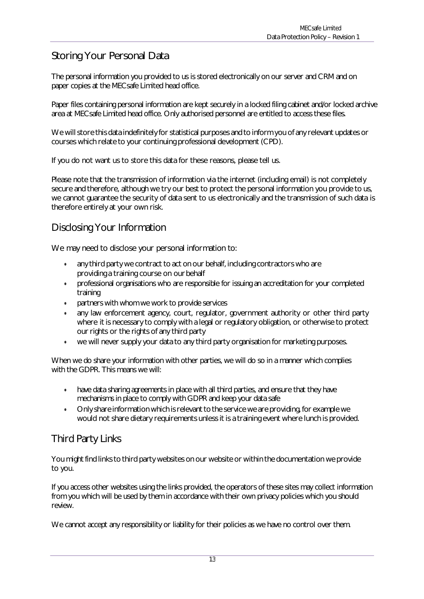#### Storing Your Personal Data

The personal information you provided to us is stored electronically on our server and CRM and on paper copies at the MECsafe Limited head office.

Paper files containing personal information are kept securely in a locked filing cabinet and/or locked archive area at MECsafe Limited head office. Only authorised personnel are entitled to access these files.

We will store this data indefinitely for statistical purposes and to inform you of any relevant updates or courses which relate to your continuing professional development (CPD).

If you do not want us to store this data for these reasons, please tell us.

Please note that the transmission of information via the internet (including email) is not completely secure and therefore, although we try our best to protect the personal information you provide to us, we cannot guarantee the security of data sent to us electronically and the transmission of such data is therefore entirely at your own risk.

#### Disclosing Your Information

We may need to disclose your personal information to:

- any third party we contract to act on our behalf, including contractors who are providing a training course on our behalf
- professional organisations who are responsible for issuing an accreditation for your completed training
- partners with whom we work to provide services
- any law enforcement agency, court, regulator, government authority or other third party where it is necessary to comply with a legal or regulatory obligation, or otherwise to protect our rights or the rights of any third party
- we will never supply your data to any third party organisation for marketing purposes.

When we do share your information with other parties, we will do so in a manner which complies with the GDPR. This means we will:

- have data sharing agreements in place with all third parties, and ensure that they have mechanisms in place to comply with GDPR and keep your data safe
- Only share information which isrelevant to the service we are providing, for example we would not share dietary requirements unless it is a training event where lunch is provided.

#### Third Party Links

You might find links to third party websites on our website or within the documentation we provide to you.

If you access other websites using the links provided, the operators of these sites may collect information from you which will be used by them in accordance with their own privacy policies which you should review.

We cannot accept any responsibility or liability for their policies as we have no control over them.